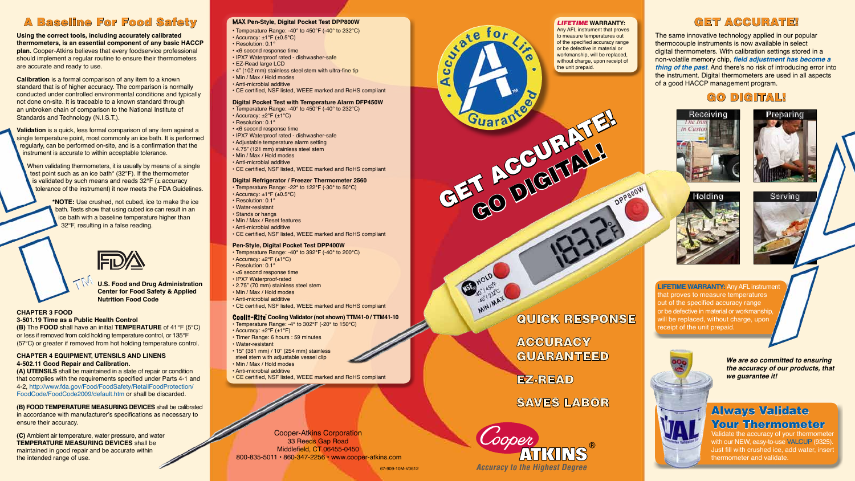



## **GET ACCURATE!**

## A Baseline For Food Safety

**Using the correct tools, including accurately calibrated thermometers, is an essential component of any basic HACCP plan.** Cooper-Atkins believes that every foodservice professional should implement a regular routine to ensure their thermometers are accurate and ready to use.

**Calibration** is a formal comparison of any item to a known standard that is of higher accuracy. The comparison is normally conducted under controlled environmental conditions and typically not done on-site. It is traceable to a known standard through an unbroken chain of comparison to the National Institute of Standards and Technology (N.I.S.T.).

When validating thermometers, it is usually by means of a single test point such as an ice bath\* (32°F). If the thermometer is validated by such means and reads  $32^{\circ}F$  ( $\pm$  accuracy tolerance of the instrument) it now meets the FDA Guidelines.

**Validation** is a quick, less formal comparison of any item against a single temperature point, most commonly an ice bath. It is performed regularly, can be performed on-site, and is a confirmation that the instrument is accurate to within acceptable tolerance.

> **\*NOTE:** Use crushed, not cubed, ice to make the ice bath. Tests show that using cubed ice can result in an ice bath with a baseline temperature higher than 32°F, resulting in a false reading.



**U.S. Food and Drug Administration Center for Food Safety & Applied Nutrition Food Code**

> with our NEW, easy-to-use VALCUP (9325). Just fill with crushed ice, add water, insert thermometer and validate.

### **CHAPTER 3 FOOD 3-501.19 Time as a Public Health Control**

**(B)** The **FOOD** shall have an initial **TEMPERATURE** of 41°F (5°C) or less if removed from cold holding temperature control, or 135°F (57°C) or greater if removed from hot holding temperature control.

## **CHAPTER 4 EQUIPMENT, UTENSILS AND LINENS 4-502.11 Good Repair and Calibration.**

**(A) UTENSILS** shall be maintained in a state of repair or condition that complies with the requirements specified under Parts 4-1 and 4-2, http://www.fda.gov/Food/FoodSafety/RetailFoodProtection/ FoodCode/FoodCode2009/default.htm or shall be discarded.

## **(B) FOOD TEMPERATURE MEASURING DEVICES** shall be calibrated

in accordance with manufacturer's specifications as necessary to ensure their accuracy.

**(C)** Ambient air temperature, water pressure, and water **TEMPERATURE MEASURING DEVICES** shall be maintained in good repair and be accurate within the intended range of use.

The same innovative technology applied in our popular thermocouple instruments is now available in select digital thermometers. With calibration settings stored in a non-volatile memory chip, **field adjustment has become a thing of the past**. And there's no risk of introducing error into the instrument. Digital thermometers are used in all aspects of a good HACCP management program.

**ACCURACY** GUARANTEED







## GO DIGITAL!

**We are so committed to ensuring the accuracy of our products, that we guarantee it!**

**LIFETIME WARRANTY:** Any AFL instrument that proves to measure temperatures out of the specified accuracy range or be defective in material or workmanship, will be replaced, without charge, upon receipt of the unit prepaid.

## *LIFETIME* **WARRANTY:**

Any AFL instrument that proves to measure temperatures out of the specified accuracy range or be defective in material or workmanship, will be replaced, without charge, upon receipt of the unit prepaid.

## MAX **Pen-Style, Digital Pocket Test DPP800W**

- Temperature Range: -40° to 450°F (-40° to 232°C)  $\cdot$  Accuracy:  $\pm 1^{\circ}$ F ( $\pm 0.5^{\circ}$ C)
- Resolution: 0.1°
- <6 second response time
- IPX7 Waterproof rated dishwasher-safe
- EZ-Read large LCD
- 4" (102 mm) stainless steel stem with ultra-fine tip
- Min / Max / Hold modes
- Anti-microbial additive
- CE certified, NSF listed, WEEE marked and RoHS compliant

## **Digital Pocket Test with Temperature Alarm DFP450W**

- Temperature Range: -40° to 450°F (-40° to 232°C)  $\cdot$  Accuracy:  $\pm 2^{\circ}$ F ( $\pm 1^{\circ}$ C)
- Resolution: 0.1°
- <6 second response time
- IPX7 Waterproof rated dishwasher-safe
- Adjustable temperature alarm setting
- 4.75" (121 mm) stainless steel stem
- Min / Max / Hold modes
- Anti-microbial additive
- CE certified, NSF listed, WEEE marked and RoHS compliant

## **Digital Refrigerator / Freezer Thermometer 2560**

- Temperature Range: -22° to 122°F (-30° to 50°C)  $\cdot$  Accuracy:  $\pm 1^{\circ}$ F ( $\pm 0.5^{\circ}$ C)
- Resolution: 0.1°
- Water-resistant
- Stands or hangs
- Min / Max / Reset features
- Anti-microbial additive
- CE certified, NSF listed, WEEE marked and RoHS compliant

## **Pen-Style, Digital Pocket Test DPP400W**

- Temperature Range: -40° to 392°F (-40° to 200°C)
- Accuracy: ±2°F (±1°C)
- Resolution: 0.1°
- <6 second response time
- IPX7 Waterproof-rated
- 2.75" (70 mm) stainless steel stem
- Min / Max / Hold modes
- Anti-microbial additive
- CE certified, NSF listed, WEEE marked and RoHS compliant

## **Coolit-Rite Cooling Validator (not shown) TTM41-0 / TTM41-10**

- Temperature Range: -4° to 302°F (-20° to 150°C)
- Accuracy: ±2°F (±1°F)
- Timer Range: 6 hours : 59 minutes
	- Water-resistant
	- 15" (381 mm) / 10" (254 mm) stainless
	- steel stem with adjustable vessel clip
	- Min / Max / Hold modes
	- Anti-microbial additive
	- CE certified, NSF listed, WEEE marked and RoHS compliant

Cooper-Atkins Corporation 33 Reeds Gap Road Middlefield, CT 06455-0450 800-835-5011 • 860-347-2256 • www.cooper-atkins.com



# QUICK RESPONSE

EZ-READ

Guarante<br>GET ACCURATE!

ι ω

MOLD NOTE

MIN/MAX

ပ ت ◢

GO DIGITAL!